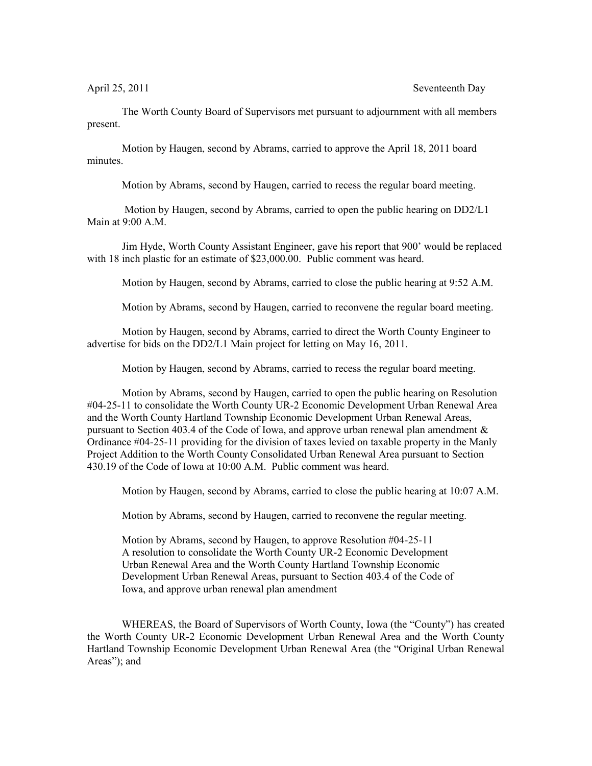April 25, 2011 Seventeenth Day

The Worth County Board of Supervisors met pursuant to adjournment with all members present.

Motion by Haugen, second by Abrams, carried to approve the April 18, 2011 board minutes.

Motion by Abrams, second by Haugen, carried to recess the regular board meeting.

 Motion by Haugen, second by Abrams, carried to open the public hearing on DD2/L1 Main at 9:00 A.M.

Jim Hyde, Worth County Assistant Engineer, gave his report that 900' would be replaced with 18 inch plastic for an estimate of \$23,000.00. Public comment was heard.

Motion by Haugen, second by Abrams, carried to close the public hearing at 9:52 A.M.

Motion by Abrams, second by Haugen, carried to reconvene the regular board meeting.

Motion by Haugen, second by Abrams, carried to direct the Worth County Engineer to advertise for bids on the DD2/L1 Main project for letting on May 16, 2011.

Motion by Haugen, second by Abrams, carried to recess the regular board meeting.

Motion by Abrams, second by Haugen, carried to open the public hearing on Resolution #04-25-11 to consolidate the Worth County UR-2 Economic Development Urban Renewal Area and the Worth County Hartland Township Economic Development Urban Renewal Areas, pursuant to Section 403.4 of the Code of Iowa, and approve urban renewal plan amendment & Ordinance #04-25-11 providing for the division of taxes levied on taxable property in the Manly Project Addition to the Worth County Consolidated Urban Renewal Area pursuant to Section 430.19 of the Code of Iowa at 10:00 A.M. Public comment was heard.

Motion by Haugen, second by Abrams, carried to close the public hearing at 10:07 A.M.

Motion by Abrams, second by Haugen, carried to reconvene the regular meeting.

Motion by Abrams, second by Haugen, to approve Resolution #04-25-11 A resolution to consolidate the Worth County UR-2 Economic Development Urban Renewal Area and the Worth County Hartland Township Economic Development Urban Renewal Areas, pursuant to Section 403.4 of the Code of Iowa, and approve urban renewal plan amendment

WHEREAS, the Board of Supervisors of Worth County, Iowa (the "County") has created the Worth County UR-2 Economic Development Urban Renewal Area and the Worth County Hartland Township Economic Development Urban Renewal Area (the "Original Urban Renewal Areas"); and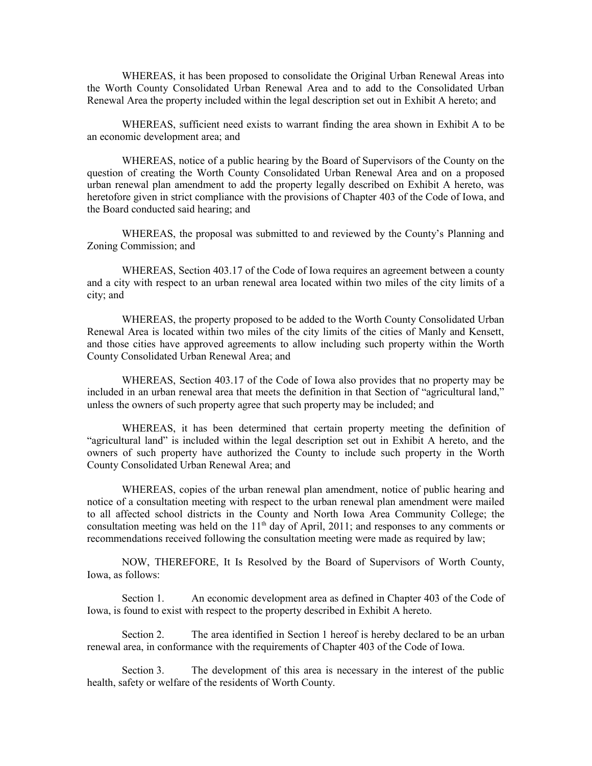WHEREAS, it has been proposed to consolidate the Original Urban Renewal Areas into the Worth County Consolidated Urban Renewal Area and to add to the Consolidated Urban Renewal Area the property included within the legal description set out in Exhibit A hereto; and

WHEREAS, sufficient need exists to warrant finding the area shown in Exhibit A to be an economic development area; and

WHEREAS, notice of a public hearing by the Board of Supervisors of the County on the question of creating the Worth County Consolidated Urban Renewal Area and on a proposed urban renewal plan amendment to add the property legally described on Exhibit A hereto, was heretofore given in strict compliance with the provisions of Chapter 403 of the Code of Iowa, and the Board conducted said hearing; and

WHEREAS, the proposal was submitted to and reviewed by the County's Planning and Zoning Commission; and

WHEREAS, Section 403.17 of the Code of Iowa requires an agreement between a county and a city with respect to an urban renewal area located within two miles of the city limits of a city; and

WHEREAS, the property proposed to be added to the Worth County Consolidated Urban Renewal Area is located within two miles of the city limits of the cities of Manly and Kensett, and those cities have approved agreements to allow including such property within the Worth County Consolidated Urban Renewal Area; and

WHEREAS, Section 403.17 of the Code of Iowa also provides that no property may be included in an urban renewal area that meets the definition in that Section of "agricultural land," unless the owners of such property agree that such property may be included; and

WHEREAS, it has been determined that certain property meeting the definition of "agricultural land" is included within the legal description set out in Exhibit A hereto, and the owners of such property have authorized the County to include such property in the Worth County Consolidated Urban Renewal Area; and

WHEREAS, copies of the urban renewal plan amendment, notice of public hearing and notice of a consultation meeting with respect to the urban renewal plan amendment were mailed to all affected school districts in the County and North Iowa Area Community College; the consultation meeting was held on the  $11<sup>th</sup>$  day of April, 2011; and responses to any comments or recommendations received following the consultation meeting were made as required by law;

NOW, THEREFORE, It Is Resolved by the Board of Supervisors of Worth County, Iowa, as follows:

Section 1. An economic development area as defined in Chapter 403 of the Code of Iowa, is found to exist with respect to the property described in Exhibit A hereto.

Section 2. The area identified in Section 1 hereof is hereby declared to be an urban renewal area, in conformance with the requirements of Chapter 403 of the Code of Iowa.

Section 3. The development of this area is necessary in the interest of the public health, safety or welfare of the residents of Worth County.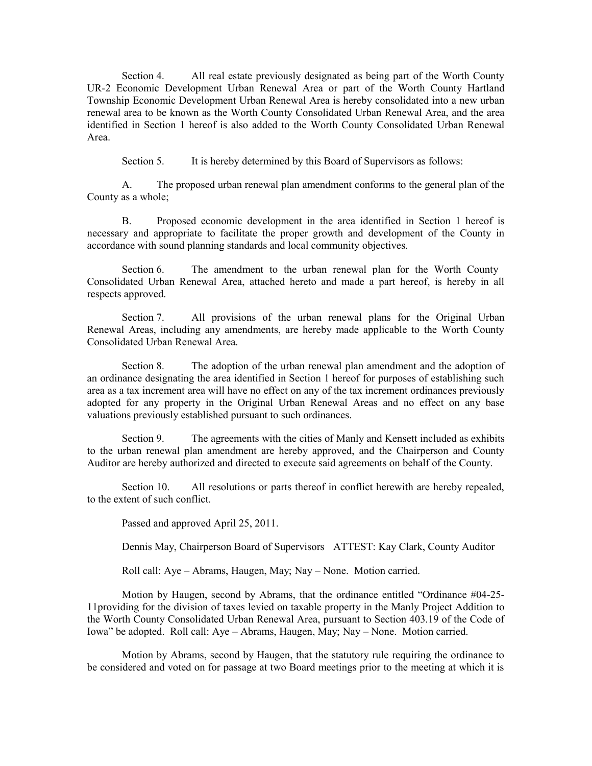Section 4. All real estate previously designated as being part of the Worth County UR-2 Economic Development Urban Renewal Area or part of the Worth County Hartland Township Economic Development Urban Renewal Area is hereby consolidated into a new urban renewal area to be known as the Worth County Consolidated Urban Renewal Area, and the area identified in Section 1 hereof is also added to the Worth County Consolidated Urban Renewal Area.

Section 5. It is hereby determined by this Board of Supervisors as follows:

A. The proposed urban renewal plan amendment conforms to the general plan of the County as a whole;

B. Proposed economic development in the area identified in Section 1 hereof is necessary and appropriate to facilitate the proper growth and development of the County in accordance with sound planning standards and local community objectives.

Section 6. The amendment to the urban renewal plan for the Worth County Consolidated Urban Renewal Area, attached hereto and made a part hereof, is hereby in all respects approved.

Section 7. All provisions of the urban renewal plans for the Original Urban Renewal Areas, including any amendments, are hereby made applicable to the Worth County Consolidated Urban Renewal Area.

Section 8. The adoption of the urban renewal plan amendment and the adoption of an ordinance designating the area identified in Section 1 hereof for purposes of establishing such area as a tax increment area will have no effect on any of the tax increment ordinances previously adopted for any property in the Original Urban Renewal Areas and no effect on any base valuations previously established pursuant to such ordinances.

Section 9. The agreements with the cities of Manly and Kensett included as exhibits to the urban renewal plan amendment are hereby approved, and the Chairperson and County Auditor are hereby authorized and directed to execute said agreements on behalf of the County.

Section 10. All resolutions or parts thereof in conflict herewith are hereby repealed, to the extent of such conflict.

Passed and approved April 25, 2011.

Dennis May, Chairperson Board of Supervisors ATTEST: Kay Clark, County Auditor

Roll call: Aye – Abrams, Haugen, May; Nay – None. Motion carried.

Motion by Haugen, second by Abrams, that the ordinance entitled "Ordinance #04-25- 11providing for the division of taxes levied on taxable property in the Manly Project Addition to the Worth County Consolidated Urban Renewal Area, pursuant to Section 403.19 of the Code of Iowa" be adopted. Roll call: Aye – Abrams, Haugen, May; Nay – None. Motion carried.

Motion by Abrams, second by Haugen, that the statutory rule requiring the ordinance to be considered and voted on for passage at two Board meetings prior to the meeting at which it is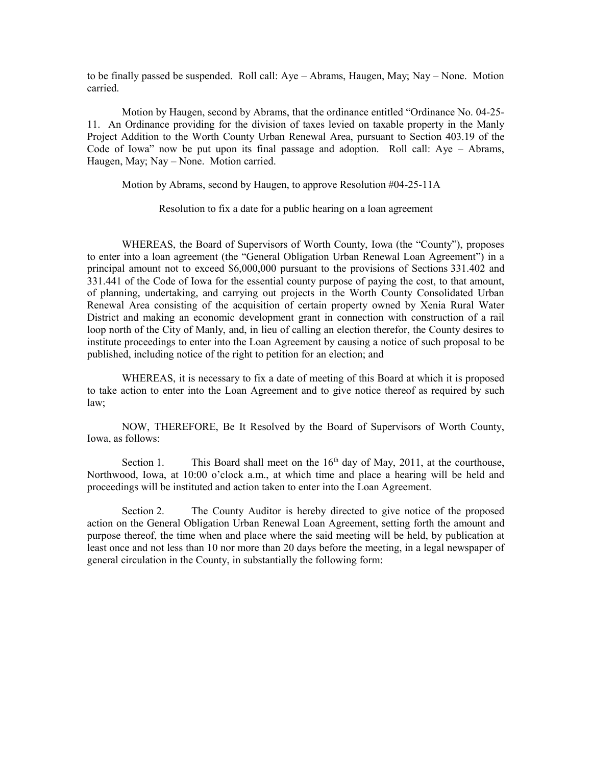to be finally passed be suspended. Roll call: Aye – Abrams, Haugen, May; Nay – None. Motion carried.

Motion by Haugen, second by Abrams, that the ordinance entitled "Ordinance No. 04-25- 11. An Ordinance providing for the division of taxes levied on taxable property in the Manly Project Addition to the Worth County Urban Renewal Area, pursuant to Section 403.19 of the Code of Iowa" now be put upon its final passage and adoption. Roll call: Aye – Abrams, Haugen, May; Nay – None. Motion carried.

Motion by Abrams, second by Haugen, to approve Resolution #04-25-11A

Resolution to fix a date for a public hearing on a loan agreement

WHEREAS, the Board of Supervisors of Worth County, Iowa (the "County"), proposes to enter into a loan agreement (the "General Obligation Urban Renewal Loan Agreement") in a principal amount not to exceed \$6,000,000 pursuant to the provisions of Sections 331.402 and 331.441 of the Code of Iowa for the essential county purpose of paying the cost, to that amount, of planning, undertaking, and carrying out projects in the Worth County Consolidated Urban Renewal Area consisting of the acquisition of certain property owned by Xenia Rural Water District and making an economic development grant in connection with construction of a rail loop north of the City of Manly, and, in lieu of calling an election therefor, the County desires to institute proceedings to enter into the Loan Agreement by causing a notice of such proposal to be published, including notice of the right to petition for an election; and

WHEREAS, it is necessary to fix a date of meeting of this Board at which it is proposed to take action to enter into the Loan Agreement and to give notice thereof as required by such law;

NOW, THEREFORE, Be It Resolved by the Board of Supervisors of Worth County, Iowa, as follows:

Section 1. This Board shall meet on the  $16<sup>th</sup>$  day of May, 2011, at the courthouse, Northwood, Iowa, at 10:00 o'clock a.m., at which time and place a hearing will be held and proceedings will be instituted and action taken to enter into the Loan Agreement.

Section 2. The County Auditor is hereby directed to give notice of the proposed action on the General Obligation Urban Renewal Loan Agreement, setting forth the amount and purpose thereof, the time when and place where the said meeting will be held, by publication at least once and not less than 10 nor more than 20 days before the meeting, in a legal newspaper of general circulation in the County, in substantially the following form: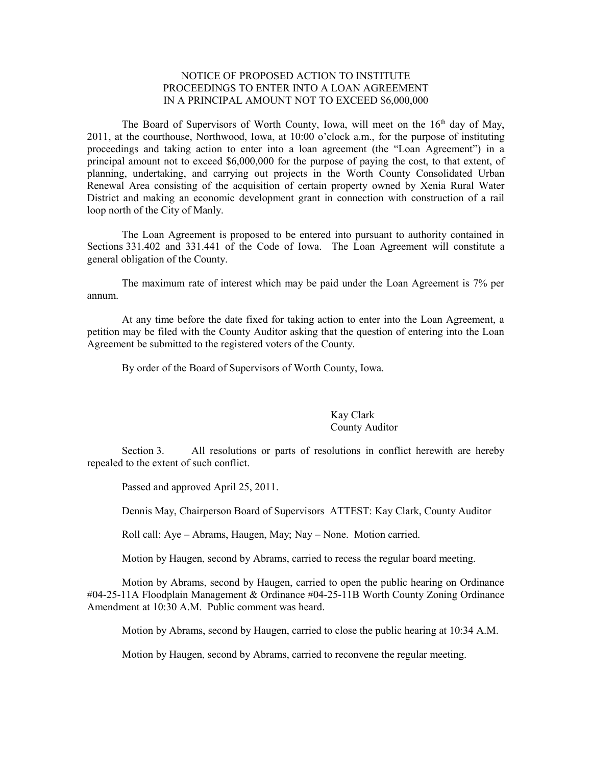## NOTICE OF PROPOSED ACTION TO INSTITUTE PROCEEDINGS TO ENTER INTO A LOAN AGREEMENT IN A PRINCIPAL AMOUNT NOT TO EXCEED \$6,000,000

The Board of Supervisors of Worth County, Iowa, will meet on the  $16<sup>th</sup>$  day of May, 2011, at the courthouse, Northwood, Iowa, at 10:00 o'clock a.m., for the purpose of instituting proceedings and taking action to enter into a loan agreement (the "Loan Agreement") in a principal amount not to exceed \$6,000,000 for the purpose of paying the cost, to that extent, of planning, undertaking, and carrying out projects in the Worth County Consolidated Urban Renewal Area consisting of the acquisition of certain property owned by Xenia Rural Water District and making an economic development grant in connection with construction of a rail loop north of the City of Manly.

The Loan Agreement is proposed to be entered into pursuant to authority contained in Sections 331.402 and 331.441 of the Code of Iowa. The Loan Agreement will constitute a general obligation of the County.

The maximum rate of interest which may be paid under the Loan Agreement is 7% per annum.

At any time before the date fixed for taking action to enter into the Loan Agreement, a petition may be filed with the County Auditor asking that the question of entering into the Loan Agreement be submitted to the registered voters of the County.

By order of the Board of Supervisors of Worth County, Iowa.

## Kay Clark County Auditor

Section 3. All resolutions or parts of resolutions in conflict herewith are hereby repealed to the extent of such conflict.

Passed and approved April 25, 2011.

Dennis May, Chairperson Board of Supervisors ATTEST: Kay Clark, County Auditor

Roll call: Aye – Abrams, Haugen, May; Nay – None. Motion carried.

Motion by Haugen, second by Abrams, carried to recess the regular board meeting.

Motion by Abrams, second by Haugen, carried to open the public hearing on Ordinance #04-25-11A Floodplain Management & Ordinance #04-25-11B Worth County Zoning Ordinance Amendment at 10:30 A.M. Public comment was heard.

Motion by Abrams, second by Haugen, carried to close the public hearing at 10:34 A.M.

Motion by Haugen, second by Abrams, carried to reconvene the regular meeting.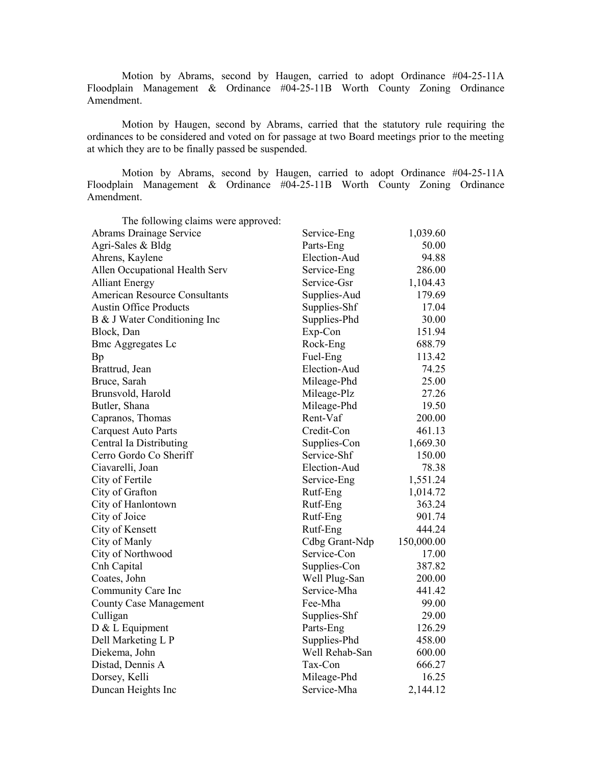Motion by Abrams, second by Haugen, carried to adopt Ordinance #04-25-11A Floodplain Management & Ordinance #04-25-11B Worth County Zoning Ordinance Amendment.

Motion by Haugen, second by Abrams, carried that the statutory rule requiring the ordinances to be considered and voted on for passage at two Board meetings prior to the meeting at which they are to be finally passed be suspended.

Motion by Abrams, second by Haugen, carried to adopt Ordinance #04-25-11A Floodplain Management & Ordinance #04-25-11B Worth County Zoning Ordinance Amendment.

| The following claims were approved:  |                |            |
|--------------------------------------|----------------|------------|
| Abrams Drainage Service              | Service-Eng    | 1,039.60   |
| Agri-Sales & Bldg                    | Parts-Eng      | 50.00      |
| Ahrens, Kaylene                      | Election-Aud   | 94.88      |
| Allen Occupational Health Serv       | Service-Eng    | 286.00     |
| <b>Alliant Energy</b>                | Service-Gsr    | 1,104.43   |
| <b>American Resource Consultants</b> | Supplies-Aud   | 179.69     |
| <b>Austin Office Products</b>        | Supplies-Shf   | 17.04      |
| B & J Water Conditioning Inc         | Supplies-Phd   | 30.00      |
| Block, Dan                           | Exp-Con        | 151.94     |
| <b>Bmc Aggregates Lc</b>             | Rock-Eng       | 688.79     |
| Bp                                   | Fuel-Eng       | 113.42     |
| Brattrud, Jean                       | Election-Aud   | 74.25      |
| Bruce, Sarah                         | Mileage-Phd    | 25.00      |
| Brunsvold, Harold                    | Mileage-Plz    | 27.26      |
| Butler, Shana                        | Mileage-Phd    | 19.50      |
| Capranos, Thomas                     | Rent-Vaf       | 200.00     |
| <b>Carquest Auto Parts</b>           | Credit-Con     | 461.13     |
| Central Ia Distributing              | Supplies-Con   | 1,669.30   |
| Cerro Gordo Co Sheriff               | Service-Shf    | 150.00     |
| Ciavarelli, Joan                     | Election-Aud   | 78.38      |
| City of Fertile                      | Service-Eng    | 1,551.24   |
| City of Grafton                      | Rutf-Eng       | 1,014.72   |
| City of Hanlontown                   | Rutf-Eng       | 363.24     |
| City of Joice                        | Rutf-Eng       | 901.74     |
| City of Kensett                      | Rutf-Eng       | 444.24     |
| City of Manly                        | Cdbg Grant-Ndp | 150,000.00 |
| City of Northwood                    | Service-Con    | 17.00      |
| Cnh Capital                          | Supplies-Con   | 387.82     |
| Coates, John                         | Well Plug-San  | 200.00     |
| Community Care Inc                   | Service-Mha    | 441.42     |
| <b>County Case Management</b>        | Fee-Mha        | 99.00      |
| Culligan                             | Supplies-Shf   | 29.00      |
| D & L Equipment                      | Parts-Eng      | 126.29     |
| Dell Marketing L P                   | Supplies-Phd   | 458.00     |
| Diekema, John                        | Well Rehab-San | 600.00     |
| Distad, Dennis A                     | Tax-Con        | 666.27     |
| Dorsey, Kelli                        | Mileage-Phd    | 16.25      |
| Duncan Heights Inc                   | Service-Mha    | 2,144.12   |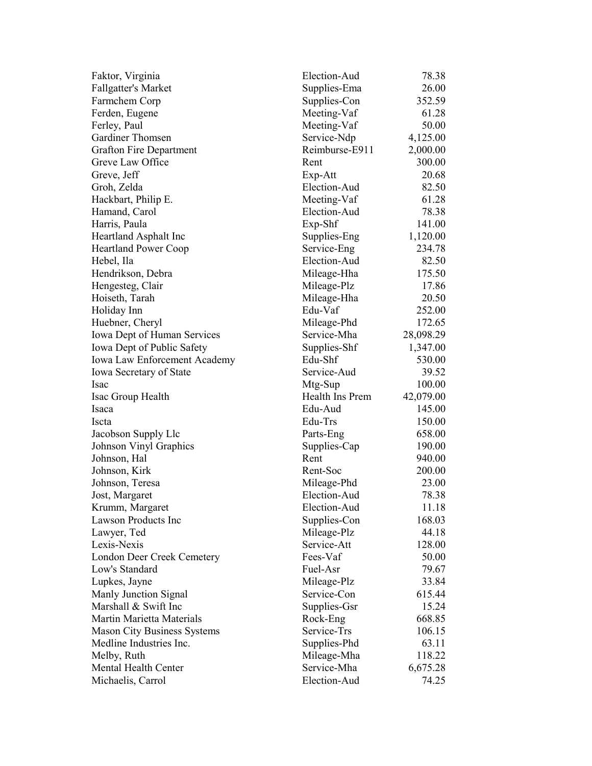| Faktor, Virginia                             | Election-Aud    | 78.38     |
|----------------------------------------------|-----------------|-----------|
| <b>Fallgatter's Market</b>                   | Supplies-Ema    | 26.00     |
| Farmchem Corp                                | Supplies-Con    | 352.59    |
| Ferden, Eugene                               | Meeting-Vaf     | 61.28     |
| Ferley, Paul                                 | Meeting-Vaf     | 50.00     |
| Gardiner Thomsen                             | Service-Ndp     | 4,125.00  |
| <b>Grafton Fire Department</b>               | Reimburse-E911  | 2,000.00  |
| Greve Law Office                             | Rent            | 300.00    |
| Greve, Jeff                                  | $Exp-Att$       | 20.68     |
| Groh, Zelda                                  | Election-Aud    | 82.50     |
| Hackbart, Philip E.                          | Meeting-Vaf     | 61.28     |
| Hamand, Carol                                | Election-Aud    | 78.38     |
| Harris, Paula                                | $Exp-Shf$       | 141.00    |
| Heartland Asphalt Inc                        | Supplies-Eng    | 1,120.00  |
| <b>Heartland Power Coop</b>                  | Service-Eng     | 234.78    |
| Hebel, Ila                                   | Election-Aud    | 82.50     |
| Hendrikson, Debra                            | Mileage-Hha     | 175.50    |
| Hengesteg, Clair                             | Mileage-Plz     | 17.86     |
| Hoiseth, Tarah                               | Mileage-Hha     | 20.50     |
| Holiday Inn                                  | Edu-Vaf         | 252.00    |
| Huebner, Cheryl                              | Mileage-Phd     | 172.65    |
| Iowa Dept of Human Services                  | Service-Mha     | 28,098.29 |
| Iowa Dept of Public Safety                   | Supplies-Shf    | 1,347.00  |
| Iowa Law Enforcement Academy                 | Edu-Shf         | 530.00    |
| <b>Iowa Secretary of State</b>               | Service-Aud     | 39.52     |
| <i>Isac</i>                                  | Mtg-Sup         | 100.00    |
| Isac Group Health                            | Health Ins Prem | 42,079.00 |
| Isaca                                        | Edu-Aud         | 145.00    |
| Iscta                                        | Edu-Trs         | 150.00    |
| Jacobson Supply Llc                          | Parts-Eng       | 658.00    |
| Johnson Vinyl Graphics                       | Supplies-Cap    | 190.00    |
| Johnson, Hal                                 | Rent            | 940.00    |
| Johnson, Kirk                                | Rent-Soc        | 200.00    |
| Johnson, Teresa                              | Mileage-Phd     | 23.00     |
| Jost, Margaret                               | Election-Aud    | 78.38     |
| Krumm, Margaret                              | Election-Aud    | 11.18     |
| Lawson Products Inc                          | Supplies-Con    | 168.03    |
|                                              | Mileage-Plz     | 44.18     |
| Lawyer, Ted<br>Lexis-Nexis                   | Service-Att     | 128.00    |
|                                              | Fees-Vaf        | 50.00     |
| London Deer Creek Cemetery<br>Low's Standard | Fuel-Asr        |           |
|                                              |                 | 79.67     |
| Lupkes, Jayne                                | Mileage-Plz     | 33.84     |
| Manly Junction Signal                        | Service-Con     | 615.44    |
| Marshall & Swift Inc                         | Supplies-Gsr    | 15.24     |
| Martin Marietta Materials                    | Rock-Eng        | 668.85    |
| <b>Mason City Business Systems</b>           | Service-Trs     | 106.15    |
| Medline Industries Inc.                      | Supplies-Phd    | 63.11     |
| Melby, Ruth                                  | Mileage-Mha     | 118.22    |
| Mental Health Center                         | Service-Mha     | 6,675.28  |
| Michaelis, Carrol                            | Election-Aud    | 74.25     |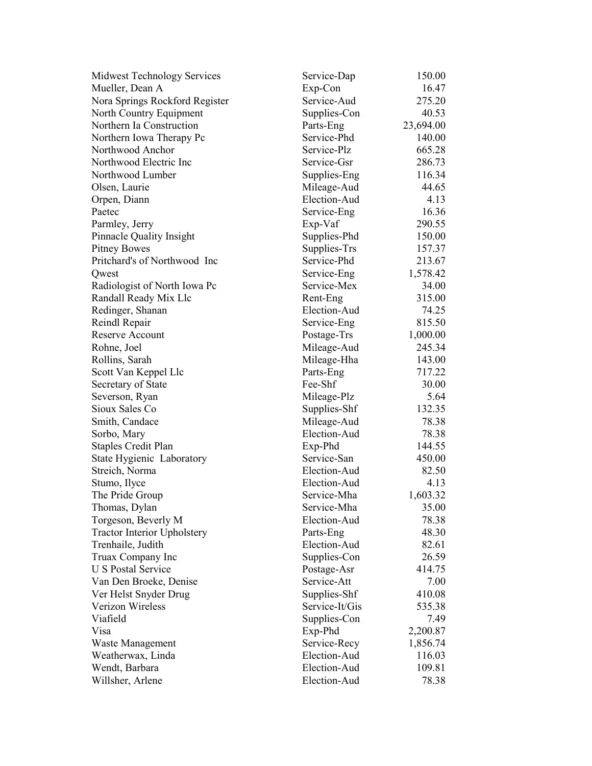| Midwest Technology Services        | Service-Dap    | 150.00    |
|------------------------------------|----------------|-----------|
| Mueller, Dean A                    | Exp-Con        | 16.47     |
| Nora Springs Rockford Register     | Service-Aud    | 275.20    |
| North Country Equipment            | Supplies-Con   | 40.53     |
| Northern Ia Construction           | Parts-Eng      | 23,694.00 |
| Northern Iowa Therapy Pc           | Service-Phd    | 140.00    |
| Northwood Anchor                   | Service-Plz    | 665.28    |
| Northwood Electric Inc             | Service-Gsr    | 286.73    |
| Northwood Lumber                   | Supplies-Eng   | 116.34    |
| Olsen, Laurie                      | Mileage-Aud    | 44.65     |
| Orpen, Diann                       | Election-Aud   | 4.13      |
| Paetec                             | Service-Eng    | 16.36     |
| Parmley, Jerry                     | Exp-Vaf        | 290.55    |
| Pinnacle Quality Insight           | Supplies-Phd   | 150.00    |
| <b>Pitney Bowes</b>                | Supplies-Trs   | 157.37    |
| Pritchard's of Northwood Inc       | Service-Phd    | 213.67    |
| Qwest                              | Service-Eng    | 1,578.42  |
| Radiologist of North Iowa Pc       | Service-Mex    | 34.00     |
| Randall Ready Mix Llc              | Rent-Eng       | 315.00    |
| Redinger, Shanan                   | Election-Aud   | 74.25     |
| Reindl Repair                      | Service-Eng    | 815.50    |
| <b>Reserve Account</b>             | Postage-Trs    | 1,000.00  |
| Rohne, Joel                        | Mileage-Aud    | 245.34    |
| Rollins, Sarah                     | Mileage-Hha    | 143.00    |
| Scott Van Keppel Llc               | Parts-Eng      | 717.22    |
| Secretary of State                 | Fee-Shf        | 30.00     |
| Severson, Ryan                     | Mileage-Plz    | 5.64      |
| Sioux Sales Co                     | Supplies-Shf   | 132.35    |
| Smith, Candace                     | Mileage-Aud    | 78.38     |
| Sorbo, Mary                        | Election-Aud   | 78.38     |
| <b>Staples Credit Plan</b>         | Exp-Phd        | 144.55    |
| State Hygienic Laboratory          | Service-San    | 450.00    |
| Streich, Norma                     | Election-Aud   | 82.50     |
| Stumo, Ilyce                       | Election-Aud   | 4.13      |
| The Pride Group                    | Service-Mha    | 1,603.32  |
| Thomas, Dylan                      | Service-Mha    | 35.00     |
| Torgeson, Beverly M                | Election-Aud   | 78.38     |
| <b>Tractor Interior Upholstery</b> | Parts-Eng      | 48.30     |
| Trenhaile, Judith                  | Election-Aud   | 82.61     |
| Truax Company Inc                  | Supplies-Con   | 26.59     |
| <b>U S Postal Service</b>          | Postage-Asr    | 414.75    |
| Van Den Broeke, Denise             | Service-Att    | 7.00      |
| Ver Helst Snyder Drug              | Supplies-Shf   | 410.08    |
| Verizon Wireless                   | Service-It/Gis | 535.38    |
| Viafield                           | Supplies-Con   | 7.49      |
| Visa                               | Exp-Phd        | 2,200.87  |
| Waste Management                   | Service-Recy   | 1,856.74  |
| Weatherwax, Linda                  | Election-Aud   | 116.03    |
| Wendt, Barbara                     | Election-Aud   | 109.81    |
| Willsher, Arlene                   | Election-Aud   | 78.38     |
|                                    |                |           |